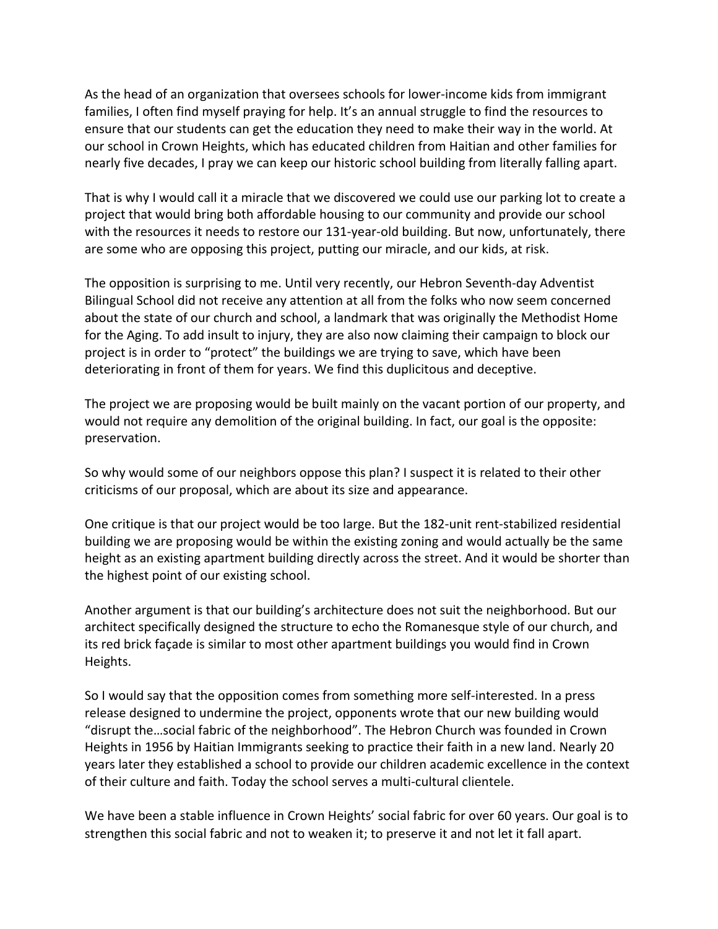As the head of an organization that oversees schools for lower-income kids from immigrant families, I often find myself praying for help. It's an annual struggle to find the resources to ensure that our students can get the education they need to make their way in the world. At our school in Crown Heights, which has educated children from Haitian and other families for nearly five decades, I pray we can keep our historic school building from literally falling apart.

That is why I would call it a miracle that we discovered we could use our parking lot to create a project that would bring both affordable housing to our community and provide our school with the resources it needs to restore our 131-year-old building. But now, unfortunately, there are some who are opposing this project, putting our miracle, and our kids, at risk.

The opposition is surprising to me. Until very recently, our Hebron Seventh-day Adventist Bilingual School did not receive any attention at all from the folks who now seem concerned about the state of our church and school, a landmark that was originally the Methodist Home for the Aging. To add insult to injury, they are also now claiming their campaign to block our project is in order to "protect" the buildings we are trying to save, which have been deteriorating in front of them for years. We find this duplicitous and deceptive.

The project we are proposing would be built mainly on the vacant portion of our property, and would not require any demolition of the original building. In fact, our goal is the opposite: preservation.

So why would some of our neighbors oppose this plan? I suspect it is related to their other criticisms of our proposal, which are about its size and appearance.

One critique is that our project would be too large. But the 182-unit rent-stabilized residential building we are proposing would be within the existing zoning and would actually be the same height as an existing apartment building directly across the street. And it would be shorter than the highest point of our existing school.

Another argument is that our building's architecture does not suit the neighborhood. But our architect specifically designed the structure to echo the Romanesque style of our church, and its red brick façade is similar to most other apartment buildings you would find in Crown Heights.

So I would say that the opposition comes from something more self-interested. In a press release designed to undermine the project, opponents wrote that our new building would "disrupt the…social fabric of the neighborhood". The Hebron Church was founded in Crown Heights in 1956 by Haitian Immigrants seeking to practice their faith in a new land. Nearly 20 years later they established a school to provide our children academic excellence in the context of their culture and faith. Today the school serves a multi-cultural clientele.

We have been a stable influence in Crown Heights' social fabric for over 60 years. Our goal is to strengthen this social fabric and not to weaken it; to preserve it and not let it fall apart.